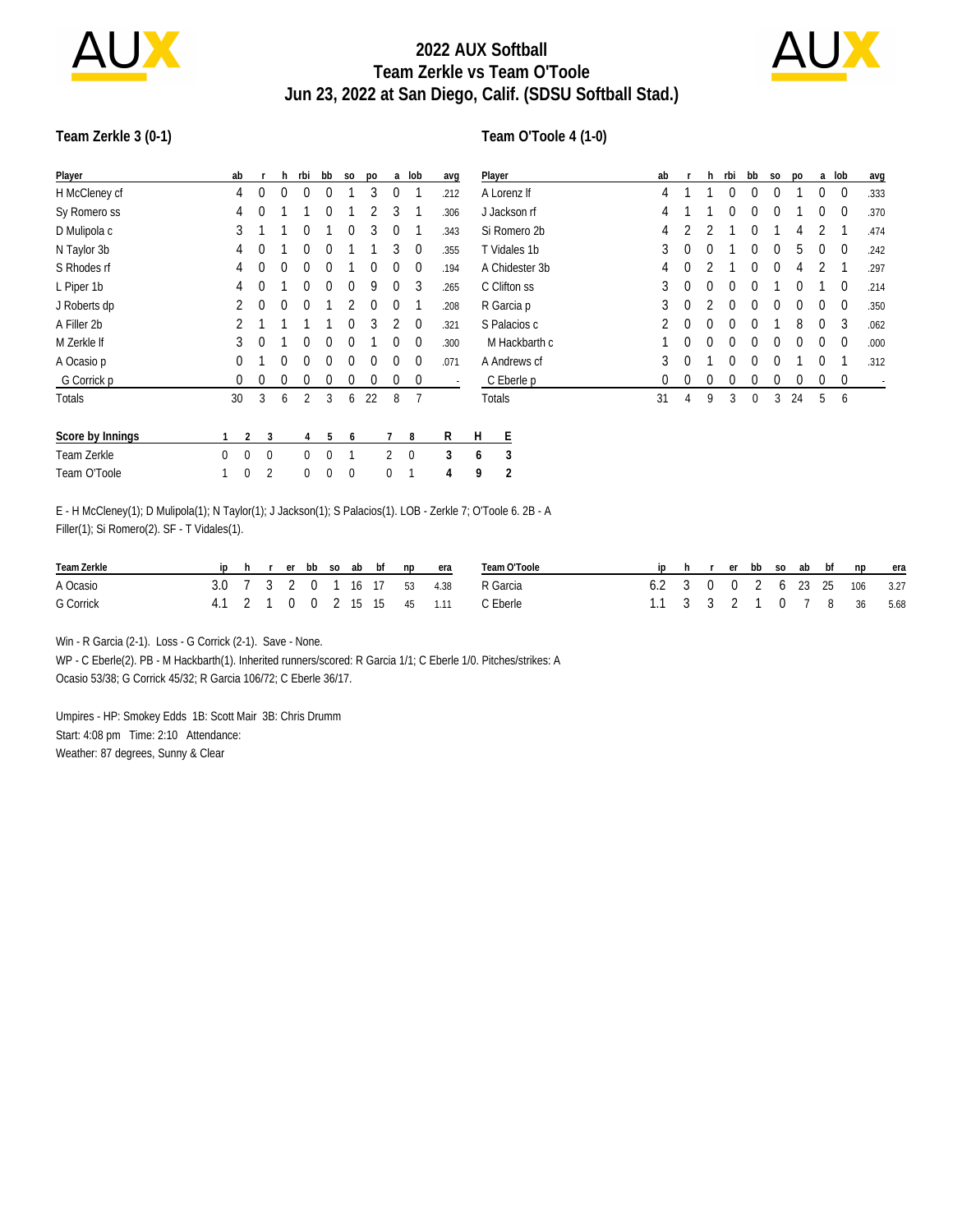

## **2022 AUX Softball Team Zerkle vs Team O'Toole Jun 23, 2022 at San Diego, Calif. (SDSU Softball Stad.)**



#### **Team Zerkle 3 (0-1)**

#### **Team O'Toole 4 (1-0)**

| Player           | ab                   |              | h.       | rbi          | bb       | S <sub>0</sub> | po           | a              | lob          | avq                      | Player              | ab |             | h.       | rbi      | bb          | S <sub>0</sub> | po       | a              | lob         | avg                      |
|------------------|----------------------|--------------|----------|--------------|----------|----------------|--------------|----------------|--------------|--------------------------|---------------------|----|-------------|----------|----------|-------------|----------------|----------|----------------|-------------|--------------------------|
| H McCleney cf    | 4                    | 0            | $\Omega$ | <sup>0</sup> |          |                | 3            | 0              |              | .212                     | A Lorenz If         | 4  |             |          | 0        | 0           | 0              |          | 0              | $\mathbf 0$ | .333                     |
| Sy Romero ss     | 4                    | $\mathbf{0}$ |          |              | 0        |                |              | 3              |              | .306                     | J Jackson rf        | 4  |             |          | 0        | $\theta$    | $\Omega$       |          | 0              | $\mathbf 0$ | .370                     |
| D Mulipola c     | 3                    |              |          | 0            |          | 0              | 3            | $\Omega$       |              | .343                     | Si Romero 2b        | 4  | 2           | 2        |          | 0           |                | 4        | $\mathfrak{D}$ |             | .474                     |
| N Taylor 3b      | 4                    | $\theta$     |          | 0            | 0        |                |              | 3              | $\mathbf 0$  | .355                     | T Vidales 1b        | 3  | $\mathbf 0$ | 0        |          | 0           | 0              | 5        | 0              | $\mathbf 0$ | .242                     |
| S Rhodes rf      | 4                    | $\mathbf{0}$ | $\Omega$ | $\Omega$     | $\Omega$ |                | 0            | $\Omega$       | $\mathbf 0$  | .194                     | A Chidester 3b      | 4  | 0           | 2        |          | $\Omega$    | 0              | 4        | 2              |             | .297                     |
| L Piper 1b       | 4                    | $\Omega$     |          | 0            | $\Omega$ | $\Omega$       | 9            | $\Omega$       | 3            | .265                     | C Clifton ss        | 3  | $\mathbf 0$ | $\Omega$ | $\Omega$ | $\Omega$    |                | $\Omega$ |                | $\mathbf 0$ | .214                     |
| J Roberts dp     | 2                    | $\Omega$     | $\Omega$ | $\theta$     |          | 2              | $\Omega$     | $\Omega$       |              | .208                     | R Garcia p          | 3  | $\theta$    | 2        | $\Omega$ | $\theta$    | $\Omega$       | $\Omega$ | $\Omega$       | $\mathbf 0$ | .350                     |
| A Filler 2b      | 2                    |              |          |              |          | $\theta$       | 3            | 2              | $\mathbf 0$  | .321                     | S Palacios c        | 2  | $\theta$    | $\theta$ | $\theta$ | $\theta$    |                | 8        | $\Omega$       | 3           | .062                     |
| M Zerkle If      | 3                    | $\mathbf{0}$ |          | $\Omega$     | $\Omega$ | $\theta$       |              | $\Omega$       | $\Omega$     | .300                     | M Hackbarth c       |    | $\theta$    | $\theta$ | $\theta$ | $\theta$    | $\theta$       | $\theta$ | $\Omega$       | $\mathbf 0$ | .000                     |
| A Ocasio p       | 0                    |              | $\Omega$ | 0            | $\Omega$ | 0              | $\mathbf{0}$ | $\Omega$       | $\Omega$     | .071                     | A Andrews cf        | 3  | $\theta$    |          | $\Omega$ | $\theta$    | $\theta$       |          | 0              |             | .312                     |
| G Corrick p      | 0                    | $\mathbf{0}$ | $\Omega$ | $\Omega$     | $\Omega$ | 0              | 0            | 0              | $\mathbf{0}$ | $\overline{\phantom{a}}$ | C Eberle p          | 0  | $\theta$    | $\theta$ | $\Omega$ | 0           | 0              | 0        | 0              | $\mathbf 0$ | $\overline{\phantom{a}}$ |
| <b>Totals</b>    | 30                   | 3            | 6        | 2            | 3        | 6              | 22           | 8              |              |                          | <b>Totals</b>       | 31 | 4           | 9        | 3        | $\mathbf 0$ | 3              | 24       | 5              | 6           |                          |
| Score by Innings |                      | 2            | 3        | 4            | 5        | 6              |              |                | 8            | R                        | Ε<br>H              |    |             |          |          |             |                |          |                |             |                          |
| Team Zerkle      | $\Omega$<br>$\Omega$ |              | $\Omega$ | $\Omega$     | $\Omega$ |                |              | $\overline{2}$ | $\mathbf{0}$ | 3                        | 3<br>6              |    |             |          |          |             |                |          |                |             |                          |
| Team O'Toole     | $\Omega$             |              | 2        | $\Omega$     | $\theta$ | $\mathbf 0$    |              | 0              |              | 4                        | $\overline{2}$<br>9 |    |             |          |          |             |                |          |                |             |                          |

E - H McCleney(1); D Mulipola(1); N Taylor(1); J Jackson(1); S Palacios(1). LOB - Zerkle 7; O'Toole 6. 2B - A Filler(1); Si Romero(2). SF - T Vidales(1).

| Team Zerkle |  |  |  |  | ip h r er bb so ab bf np era |                             | Team O'Toole |                              |  |  |  | ip h r er bb so ab bf np era |  |
|-------------|--|--|--|--|------------------------------|-----------------------------|--------------|------------------------------|--|--|--|------------------------------|--|
| A Ocasio    |  |  |  |  |                              | 3.0 7 3 2 0 1 16 17 53 4.38 | R Garcia     | 6.2 3 0 0 2 6 23 25 106 3.27 |  |  |  |                              |  |
| G Corrick   |  |  |  |  |                              | 4.1 2 1 0 0 2 15 15 45 1.11 | C Eberle     | 1.1 3 3 2 1 0 7 8 36 5.68    |  |  |  |                              |  |

Win - R Garcia (2-1). Loss - G Corrick (2-1). Save - None.

WP - C Eberle(2). PB - M Hackbarth(1). Inherited runners/scored: R Garcia 1/1; C Eberle 1/0. Pitches/strikes: A Ocasio 53/38; G Corrick 45/32; R Garcia 106/72; C Eberle 36/17.

Umpires - HP: Smokey Edds 1B: Scott Mair 3B: Chris Drumm Start: 4:08 pm Time: 2:10 Attendance: Weather: 87 degrees, Sunny & Clear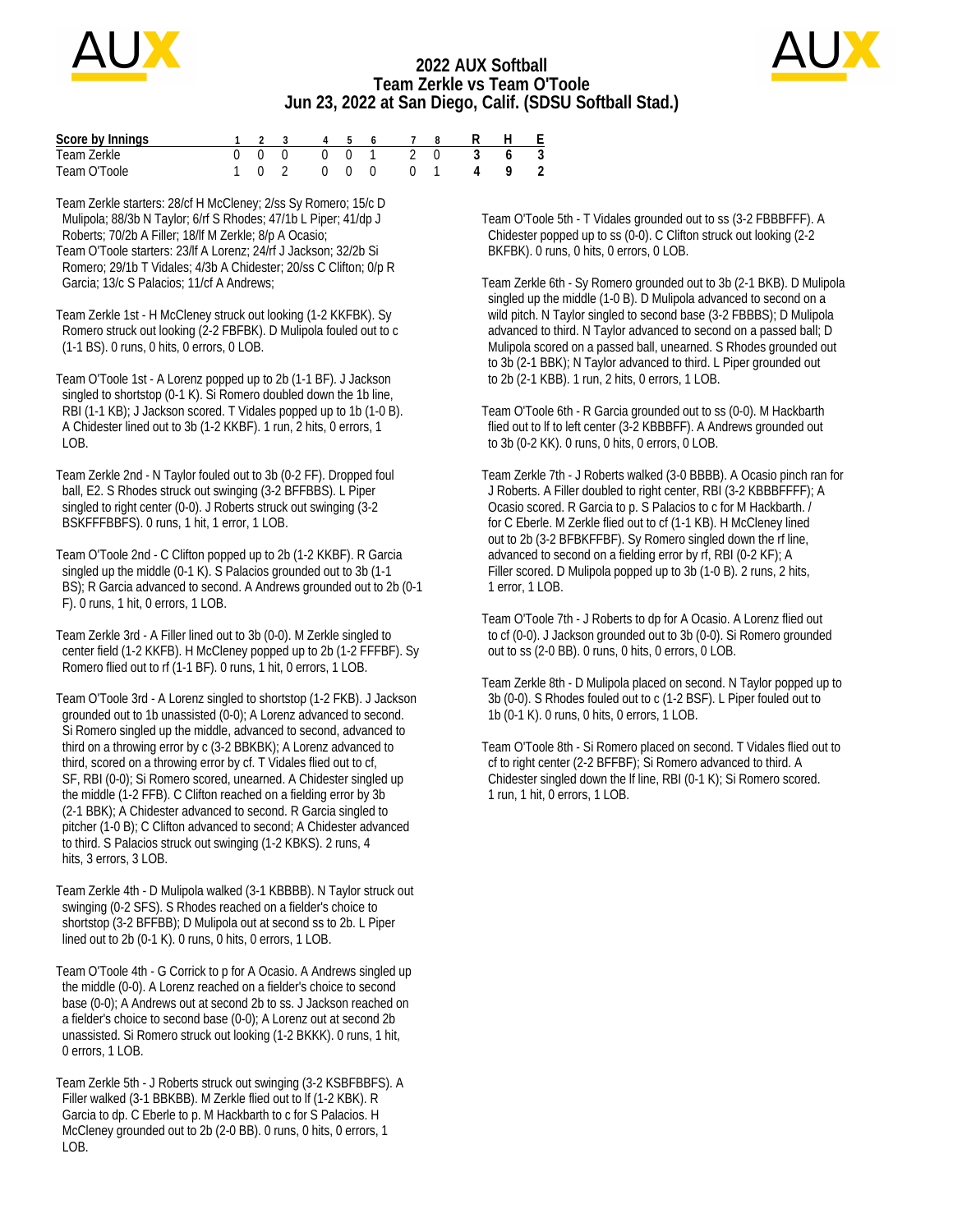

### **2022 AUX Softball Team Zerkle vs Team O'Toole Jun 23, 2022 at San Diego, Calif. (SDSU Softball Stad.)**



| Score by Innings |  |       |                                            |  | 1 2 3 4 5 6 7 8 |                                         | H F |  |
|------------------|--|-------|--------------------------------------------|--|-----------------|-----------------------------------------|-----|--|
| Team Zerkle      |  |       |                                            |  | 000 001 20      | 3 6 3                                   |     |  |
| Team O'Toole     |  | 1 0 2 | $\begin{array}{ccc} 0 & 0 & 0 \end{array}$ |  |                 | $\begin{matrix} 0 & 1 & 4 \end{matrix}$ |     |  |

Team Zerkle starters: 28/cf H McCleney; 2/ss Sy Romero; 15/c D Mulipola; 88/3b N Taylor; 6/rf S Rhodes; 47/1b L Piper; 41/dp J Roberts; 70/2b A Filler; 18/lf M Zerkle; 8/p A Ocasio; Team O'Toole starters: 23/lf A Lorenz; 24/rf J Jackson; 32/2b Si Romero; 29/1b T Vidales; 4/3b A Chidester; 20/ss C Clifton; 0/p R Garcia; 13/c S Palacios; 11/cf A Andrews;

Team Zerkle 1st - H McCleney struck out looking (1-2 KKFBK). Sy Romero struck out looking (2-2 FBFBK). D Mulipola fouled out to c (1-1 BS). 0 runs, 0 hits, 0 errors, 0 LOB.

Team O'Toole 1st - A Lorenz popped up to 2b (1-1 BF). J Jackson singled to shortstop (0-1 K). Si Romero doubled down the 1b line, RBI (1-1 KB); J Jackson scored. T Vidales popped up to 1b (1-0 B). A Chidester lined out to 3b (1-2 KKBF). 1 run, 2 hits, 0 errors, 1 LOB.

Team Zerkle 2nd - N Taylor fouled out to 3b (0-2 FF). Dropped foul ball, E2. S Rhodes struck out swinging (3-2 BFFBBS). L Piper singled to right center (0-0). J Roberts struck out swinging (3-2 BSKFFFBBFS). 0 runs, 1 hit, 1 error, 1 LOB.

Team O'Toole 2nd - C Clifton popped up to 2b (1-2 KKBF). R Garcia singled up the middle (0-1 K). S Palacios grounded out to 3b (1-1 BS); R Garcia advanced to second. A Andrews grounded out to 2b (0-1 F). 0 runs, 1 hit, 0 errors, 1 LOB.

Team Zerkle 3rd - A Filler lined out to 3b (0-0). M Zerkle singled to center field (1-2 KKFB). H McCleney popped up to 2b (1-2 FFFBF). Sy Romero flied out to rf (1-1 BF). 0 runs, 1 hit, 0 errors, 1 LOB.

Team O'Toole 3rd - A Lorenz singled to shortstop (1-2 FKB). J Jackson grounded out to 1b unassisted (0-0); A Lorenz advanced to second. Si Romero singled up the middle, advanced to second, advanced to third on a throwing error by c (3-2 BBKBK); A Lorenz advanced to third, scored on a throwing error by cf. T Vidales flied out to cf, SF, RBI (0-0); Si Romero scored, unearned. A Chidester singled up the middle (1-2 FFB). C Clifton reached on a fielding error by 3b (2-1 BBK); A Chidester advanced to second. R Garcia singled to pitcher (1-0 B); C Clifton advanced to second; A Chidester advanced to third. S Palacios struck out swinging (1-2 KBKS). 2 runs, 4 hits, 3 errors, 3 LOB.

Team Zerkle 4th - D Mulipola walked (3-1 KBBBB). N Taylor struck out swinging (0-2 SFS). S Rhodes reached on a fielder's choice to shortstop (3-2 BFFBB); D Mulipola out at second ss to 2b. L Piper lined out to 2b (0-1 K). 0 runs, 0 hits, 0 errors, 1 LOB.

Team O'Toole 4th - G Corrick to p for A Ocasio. A Andrews singled up the middle (0-0). A Lorenz reached on a fielder's choice to second base (0-0); A Andrews out at second 2b to ss. J Jackson reached on a fielder's choice to second base (0-0); A Lorenz out at second 2b unassisted. Si Romero struck out looking (1-2 BKKK). 0 runs, 1 hit, 0 errors, 1 LOB.

Team Zerkle 5th - J Roberts struck out swinging (3-2 KSBFBBFS). A Filler walked (3-1 BBKBB). M Zerkle flied out to lf (1-2 KBK). R Garcia to dp. C Eberle to p. M Hackbarth to c for S Palacios. H McCleney grounded out to 2b (2-0 BB). 0 runs, 0 hits, 0 errors, 1  $I$  O<sub>B</sub>

Team O'Toole 5th - T Vidales grounded out to ss (3-2 FBBBFFF). A Chidester popped up to ss (0-0). C Clifton struck out looking (2-2 BKFBK). 0 runs, 0 hits, 0 errors, 0 LOB.

Team Zerkle 6th - Sy Romero grounded out to 3b (2-1 BKB). D Mulipola singled up the middle (1-0 B). D Mulipola advanced to second on a wild pitch. N Taylor singled to second base (3-2 FBBBS); D Mulipola advanced to third. N Taylor advanced to second on a passed ball; D Mulipola scored on a passed ball, unearned. S Rhodes grounded out to 3b (2-1 BBK); N Taylor advanced to third. L Piper grounded out to 2b (2-1 KBB). 1 run, 2 hits, 0 errors, 1 LOB.

Team O'Toole 6th - R Garcia grounded out to ss (0-0). M Hackbarth flied out to lf to left center (3-2 KBBBFF). A Andrews grounded out to 3b (0-2 KK). 0 runs, 0 hits, 0 errors, 0 LOB.

Team Zerkle 7th - J Roberts walked (3-0 BBBB). A Ocasio pinch ran for J Roberts. A Filler doubled to right center, RBI (3-2 KBBBFFFF); A Ocasio scored. R Garcia to p. S Palacios to c for M Hackbarth. / for C Eberle. M Zerkle flied out to cf (1-1 KB). H McCleney lined out to 2b (3-2 BFBKFFBF). Sy Romero singled down the rf line, advanced to second on a fielding error by rf, RBI (0-2 KF); A Filler scored. D Mulipola popped up to 3b (1-0 B). 2 runs, 2 hits, 1 error, 1 LOB.

Team O'Toole 7th - J Roberts to dp for A Ocasio. A Lorenz flied out to cf (0-0). J Jackson grounded out to 3b (0-0). Si Romero grounded out to ss (2-0 BB). 0 runs, 0 hits, 0 errors, 0 LOB.

Team Zerkle 8th - D Mulipola placed on second. N Taylor popped up to 3b (0-0). S Rhodes fouled out to c (1-2 BSF). L Piper fouled out to 1b (0-1 K). 0 runs, 0 hits, 0 errors, 1 LOB.

Team O'Toole 8th - Si Romero placed on second. T Vidales flied out to cf to right center (2-2 BFFBF); Si Romero advanced to third. A Chidester singled down the lf line, RBI (0-1 K); Si Romero scored. 1 run, 1 hit, 0 errors, 1 LOB.